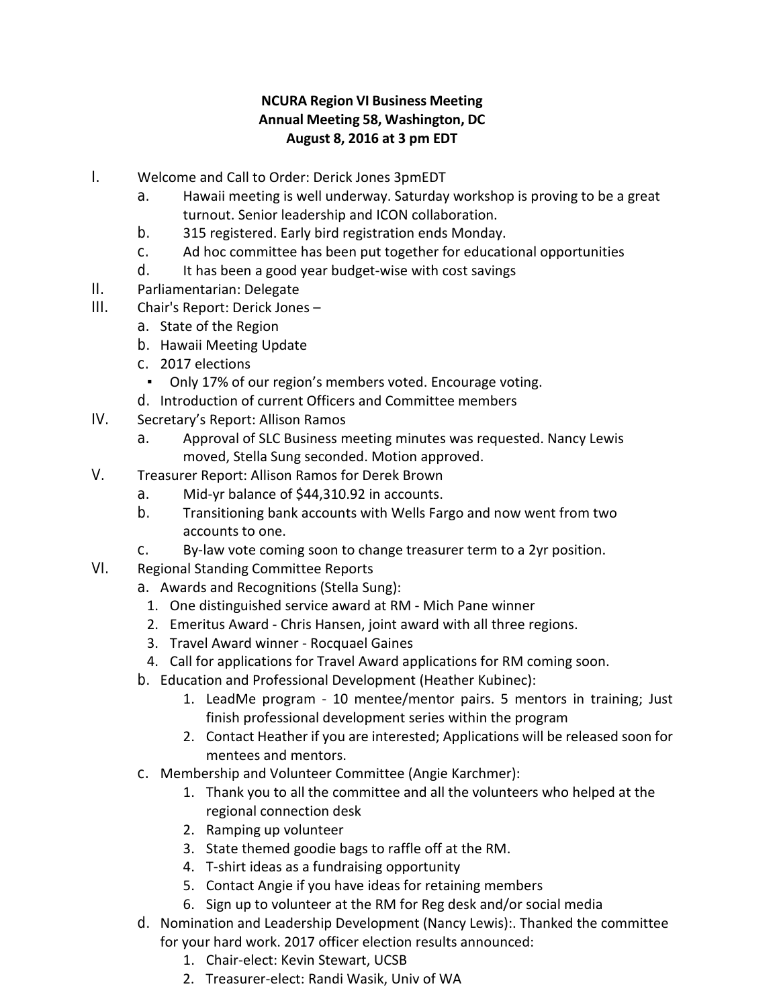## **NCURA Region VI Business Meeting Annual Meeting 58, Washington, DC August 8, 2016 at 3 pm EDT**

- I. Welcome and Call to Order: Derick Jones 3pmEDT
	- a. Hawaii meeting is well underway. Saturday workshop is proving to be a great turnout. Senior leadership and ICON collaboration.
	- b. 315 registered. Early bird registration ends Monday.
	- c. Ad hoc committee has been put together for educational opportunities
	- d. It has been a good year budget-wise with cost savings
- II. Parliamentarian: Delegate
- III. Chair's Report: Derick Jones
	- a. State of the Region
	- b. Hawaii Meeting Update
	- c. 2017 elections
		- Only 17% of our region's members voted. Encourage voting.
	- d. Introduction of current Officers and Committee members
- IV. Secretary's Report: Allison Ramos
	- a. Approval of SLC Business meeting minutes was requested. Nancy Lewis moved, Stella Sung seconded. Motion approved.
- V. Treasurer Report: Allison Ramos for Derek Brown
	- a. Mid-yr balance of \$44,310.92 in accounts.
	- b. Transitioning bank accounts with Wells Fargo and now went from two accounts to one.
	- c. By-law vote coming soon to change treasurer term to a 2yr position.
- VI. Regional Standing Committee Reports
	- a. Awards and Recognitions (Stella Sung):
		- 1. One distinguished service award at RM Mich Pane winner
		- 2. Emeritus Award Chris Hansen, joint award with all three regions.
		- 3. Travel Award winner Rocquael Gaines
		- 4. Call for applications for Travel Award applications for RM coming soon.
	- b. Education and Professional Development (Heather Kubinec):
		- 1. LeadMe program 10 mentee/mentor pairs. 5 mentors in training; Just finish professional development series within the program
		- 2. Contact Heather if you are interested; Applications will be released soon for mentees and mentors.
	- c. Membership and Volunteer Committee (Angie Karchmer):
		- 1. Thank you to all the committee and all the volunteers who helped at the regional connection desk
		- 2. Ramping up volunteer
		- 3. State themed goodie bags to raffle off at the RM.
		- 4. T-shirt ideas as a fundraising opportunity
		- 5. Contact Angie if you have ideas for retaining members
		- 6. Sign up to volunteer at the RM for Reg desk and/or social media
	- d. Nomination and Leadership Development (Nancy Lewis):. Thanked the committee for your hard work. 2017 officer election results announced:
		- 1. Chair-elect: Kevin Stewart, UCSB
		- 2. Treasurer-elect: Randi Wasik, Univ of WA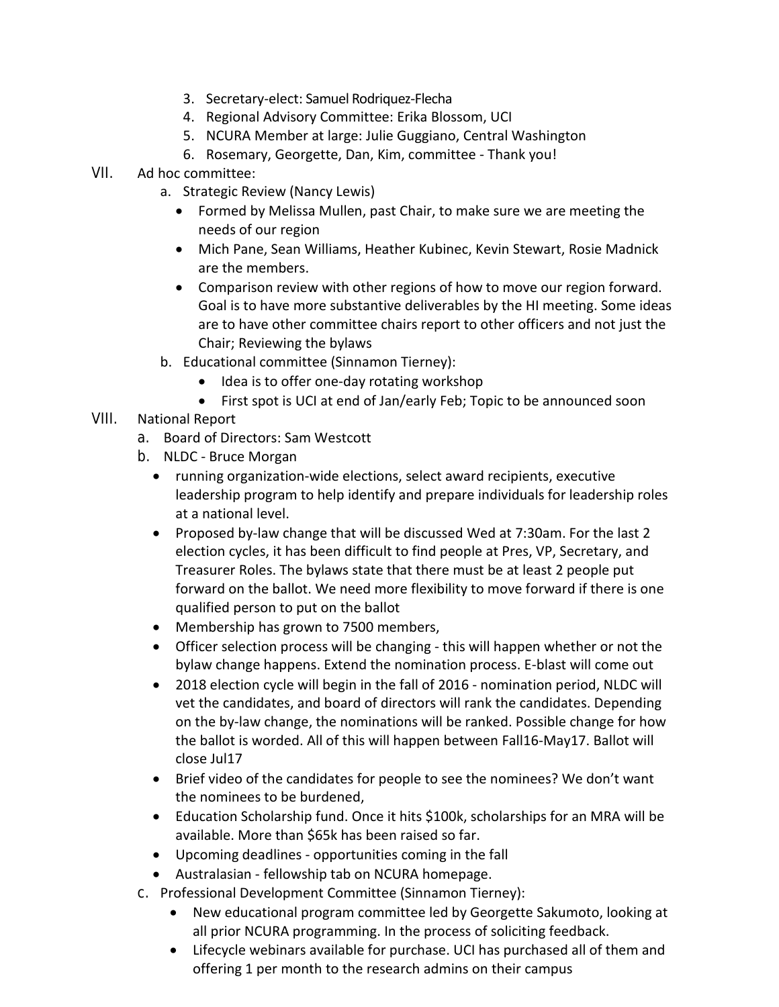- 3. Secretary-elect: Samuel Rodriquez-Flecha
- 4. Regional Advisory Committee: Erika Blossom, UCI
- 5. NCURA Member at large: Julie Guggiano, Central Washington
- 6. Rosemary, Georgette, Dan, Kim, committee Thank you!
- VII. Ad hoc committee:
	- a. Strategic Review (Nancy Lewis)
		- Formed by Melissa Mullen, past Chair, to make sure we are meeting the needs of our region
		- Mich Pane, Sean Williams, Heather Kubinec, Kevin Stewart, Rosie Madnick are the members.
		- Comparison review with other regions of how to move our region forward. Goal is to have more substantive deliverables by the HI meeting. Some ideas are to have other committee chairs report to other officers and not just the Chair; Reviewing the bylaws
	- b. Educational committee (Sinnamon Tierney):
		- Idea is to offer one-day rotating workshop
		- First spot is UCI at end of Jan/early Feb; Topic to be announced soon
- VIII. National Report
	- a. Board of Directors: Sam Westcott
	- b. NLDC Bruce Morgan
		- running organization-wide elections, select award recipients, executive leadership program to help identify and prepare individuals for leadership roles at a national level.
		- Proposed by-law change that will be discussed Wed at 7:30am. For the last 2 election cycles, it has been difficult to find people at Pres, VP, Secretary, and Treasurer Roles. The bylaws state that there must be at least 2 people put forward on the ballot. We need more flexibility to move forward if there is one qualified person to put on the ballot
		- Membership has grown to 7500 members,
		- Officer selection process will be changing this will happen whether or not the bylaw change happens. Extend the nomination process. E-blast will come out
		- 2018 election cycle will begin in the fall of 2016 nomination period, NLDC will vet the candidates, and board of directors will rank the candidates. Depending on the by-law change, the nominations will be ranked. Possible change for how the ballot is worded. All of this will happen between Fall16-May17. Ballot will close Jul17
		- Brief video of the candidates for people to see the nominees? We don't want the nominees to be burdened,
		- Education Scholarship fund. Once it hits \$100k, scholarships for an MRA will be available. More than \$65k has been raised so far.
		- Upcoming deadlines opportunities coming in the fall
		- Australasian fellowship tab on NCURA homepage.
	- c. Professional Development Committee (Sinnamon Tierney):
		- New educational program committee led by Georgette Sakumoto, looking at all prior NCURA programming. In the process of soliciting feedback.
		- Lifecycle webinars available for purchase. UCI has purchased all of them and offering 1 per month to the research admins on their campus